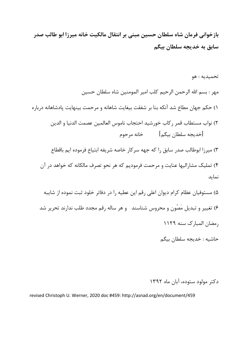**بازخوانی فرمان شاه سلطان حسین مبنى بر انتقال مالکیت خانه میرزا ابو طالب صدر سابق به خدیجه سلطان بیگم**

تحمیدیه : هو مهر : بسم االله الرحمن الرحیم کلب امیر المومنین شاه سلطان حسین 1) حکم جهان مطاع شد آنکه بنا بر شفقت بیغایت شاهانه و مرحمت بینهایت پادشاهانه درباره 2) نواب مستطاب قمر رکاب خورشید احتجاب ناموس العالمین عصمت الدنیا و الدین [خدیجه سلطان بیگم] خانه مرحوم 3) میرزا ابوطالب صدر سابق را که جهه سرکار خاصه شریفه ابتیاع فرموده ایم باقطاع 4) تملیک مشارالیها عنایت و مرحمت فرمودیم که هر نحو تصرف مالکانه که خواهد در آن نماید 5) مستوفیان عظام کرام دیوان اعلی رقم این عطیه را در دفاتر خلود ثبت نموده از شایبه 6) تغییر و تبدیل مَصُون و محروس شناسند و هر ساله رقم مجدد طلب ندارند تحریر شد رمضان المبارك سنه 1129

حاشیه : خدیجه سلطان بیگم

دکتر مولود ستوده، آبان ماه 1392

revised Christoph U. Werner, 2020 doc #459: http://asnad.org/en/document/459